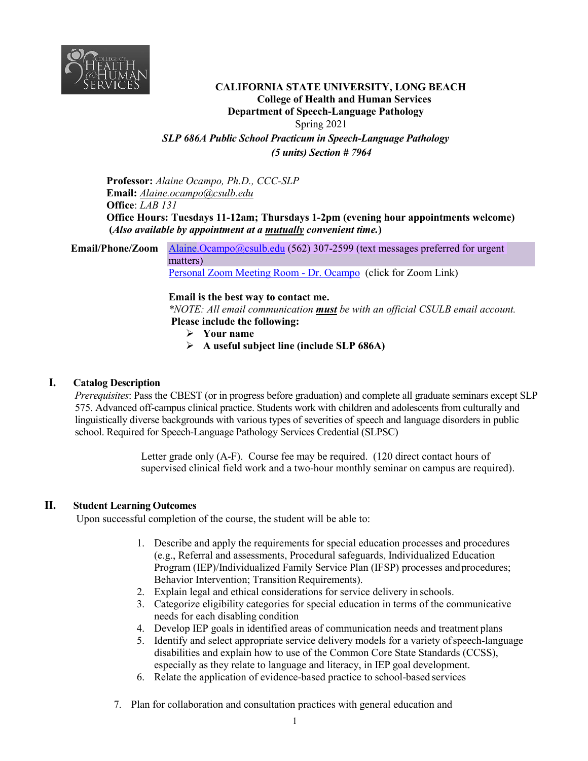

# **CALIFORNIA STATE UNIVERSITY, LONG BEACH College of Health and Human Services Department of Speech-Language Pathology** Spring 2021 *SLP 686A Public School Practicum in Speech-Language Pathology*

*(5 units) Section # 7964*

**Professor:** *Alaine Ocampo, Ph.D., CCC-SLP* **Email:** *[Alaine.ocampo@csulb.edu](mailto:Alaine.ocampo@csulb.edu)* **Office**: *LAB 131* **Office Hours: Tuesdays 11-12am; Thursdays 1-2pm (evening hour appointments welcome) (***Also available by appointment at a mutually convenient time.***)**

**Email/Phone/Zoom** Alaine. Ocampo@csulb.edu (562) 307-2599 (text messages preferred for urgent matters) [Personal Zoom Meeting Room -](https://csulb.zoom.us/j/2938614806?pwd=RXRzS0FSaUZMR0dBckxadll1S091QT09) Dr. Ocampo (click for Zoom Link)

### **Email is the best way to contact me.**

*\*NOTE: All email communication must be with an official CSULB email account.* **Please include the following:** 

- **Your name**
- **A useful subject line (include SLP 686A)**

### **I. Catalog Description**

*Prerequisites*: Pass the CBEST (or in progress before graduation) and complete all graduate seminars except SLP 575. Advanced off-campus clinical practice. Students work with children and adolescents from culturally and linguistically diverse backgrounds with various types of severities of speech and language disorders in public school. Required for Speech-Language Pathology Services Credential (SLPSC)

> Letter grade only (A-F). Course fee may be required. (120 direct contact hours of supervised clinical field work and a two-hour monthly seminar on campus are required).

### **II. Student Learning Outcomes**

Upon successful completion of the course, the student will be able to:

- 1. Describe and apply the requirements for special education processes and procedures (e.g., Referral and assessments, Procedural safeguards, Individualized Education Program (IEP)/Individualized Family Service Plan (IFSP) processes andprocedures; Behavior Intervention; Transition Requirements).
- 2. Explain legal and ethical considerations for service delivery in schools.
- 3. Categorize eligibility categories for special education in terms of the communicative needs for each disabling condition
- 4. Develop IEP goals in identified areas of communication needs and treatment plans
- 5. Identify and select appropriate service delivery models for a variety ofspeech-language disabilities and explain how to use of the Common Core State Standards (CCSS), especially as they relate to language and literacy, in IEP goal development.
- 6. Relate the application of evidence-based practice to school-based services
- 7. Plan for collaboration and consultation practices with general education and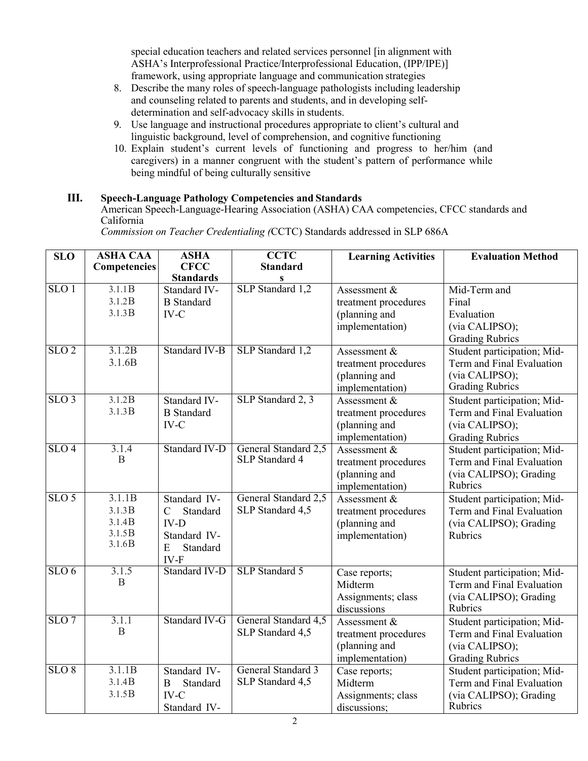special education teachers and related services personnel [in alignment with ASHA's Interprofessional Practice/Interprofessional Education, (IPP/IPE)] framework, using appropriate language and communication strategies

- 8. Describe the many roles of speech-language pathologists including leadership and counseling related to parents and students, and in developing selfdetermination and self-advocacy skills in students.
- 9. Use language and instructional procedures appropriate to client's cultural and linguistic background, level of comprehension, and cognitive functioning
- 10. Explain student's current levels of functioning and progress to her/him (and caregivers) in a manner congruent with the student's pattern of performance while being mindful of being culturally sensitive

# **III. Speech-Language Pathology Competencies and Standards**

American Speech-Language-Hearing Association (ASHA) CAA competencies, CFCC standards and California

| <b>SLO</b>         | <b>ASHA CAA</b>                                | <b>ASHA</b><br><b>CFCC</b>                                                                             | <b>CCTC</b><br><b>Standard</b>                | <b>Learning Activities</b>                                               | <b>Evaluation Method</b>                                                                             |
|--------------------|------------------------------------------------|--------------------------------------------------------------------------------------------------------|-----------------------------------------------|--------------------------------------------------------------------------|------------------------------------------------------------------------------------------------------|
|                    | <b>Competencies</b>                            | <b>Standards</b>                                                                                       | S                                             |                                                                          |                                                                                                      |
| SLO <sub>1</sub>   | 3.1.1B<br>3.1.2B<br>3.1.3B                     | Standard IV-<br><b>B</b> Standard<br>$IV-C$                                                            | SLP Standard 1,2                              | Assessment &<br>treatment procedures<br>(planning and<br>implementation) | Mid-Term and<br>Final<br>Evaluation<br>(via CALIPSO);<br><b>Grading Rubrics</b>                      |
| $SLO$ <sub>2</sub> | 3.1.2B<br>3.1.6B                               | Standard IV-B                                                                                          | SLP Standard 1,2                              | Assessment &<br>treatment procedures<br>(planning and<br>implementation) | Student participation; Mid-<br>Term and Final Evaluation<br>(via CALIPSO);<br><b>Grading Rubrics</b> |
| $SLO$ 3            | 3.1.2B<br>3.1.3B                               | Standard IV-<br><b>B</b> Standard<br>$IV-C$                                                            | SLP Standard 2, 3                             | Assessment &<br>treatment procedures<br>(planning and<br>implementation) | Student participation; Mid-<br>Term and Final Evaluation<br>(via CALIPSO);<br><b>Grading Rubrics</b> |
| SLO <sub>4</sub>   | 3.1.4<br>B                                     | Standard IV-D                                                                                          | General Standard 2,5<br>SLP Standard 4        | Assessment &<br>treatment procedures<br>(planning and<br>implementation) | Student participation; Mid-<br>Term and Final Evaluation<br>(via CALIPSO); Grading<br>Rubrics        |
| $SLO$ 5            | 3.1.1B<br>3.1.3B<br>3.1.4B<br>3.1.5B<br>3.1.6B | Standard IV-<br>$\mathcal{C}$<br>Standard<br>$IV-D$<br>Standard IV-<br>${\bf E}$<br>Standard<br>$IV-F$ | General Standard 2,5<br>SLP Standard 4,5      | Assessment &<br>treatment procedures<br>(planning and<br>implementation) | Student participation; Mid-<br>Term and Final Evaluation<br>(via CALIPSO); Grading<br><b>Rubrics</b> |
| SLO <sub>6</sub>   | 3.1.5<br>B                                     | Standard IV-D                                                                                          | SLP Standard 5                                | Case reports;<br>Midterm<br>Assignments; class<br>discussions            | Student participation; Mid-<br>Term and Final Evaluation<br>(via CALIPSO); Grading<br>Rubrics        |
| $SLO$ 7            | 3.1.1<br>B                                     | Standard IV-G                                                                                          | General Standard 4,5<br>SLP Standard 4,5      | Assessment &<br>treatment procedures<br>(planning and<br>implementation) | Student participation; Mid-<br>Term and Final Evaluation<br>(via CALIPSO);<br><b>Grading Rubrics</b> |
| $SLO$ $8$          | 3.1.1B<br>3.1.4B<br>3.1.5B                     | Standard IV-<br>Standard<br>B<br>$IV-C$<br>Standard IV-                                                | <b>General Standard 3</b><br>SLP Standard 4,5 | Case reports;<br>Midterm<br>Assignments; class<br>discussions;           | Student participation; Mid-<br>Term and Final Evaluation<br>(via CALIPSO); Grading<br>Rubrics        |

*Commission on Teacher Credentialing (*CCTC) Standards addressed in SLP 686A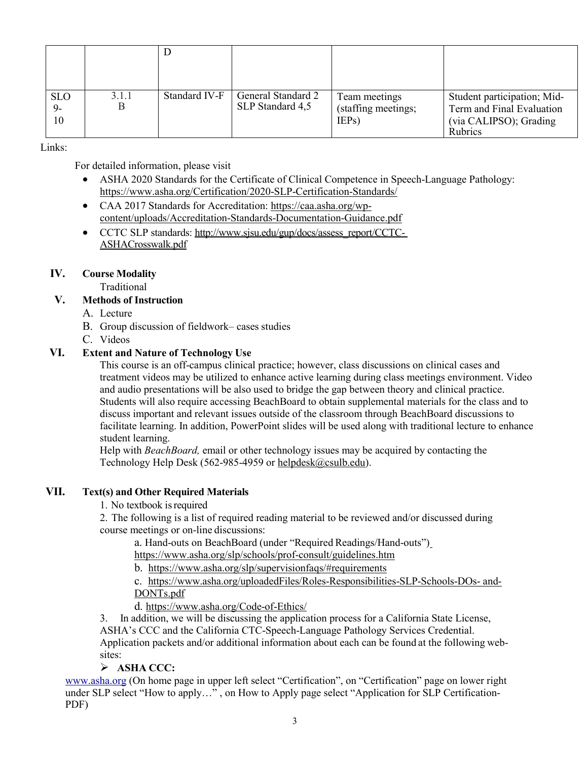| <b>SLO</b><br>$9-$<br>10 | 3.1.1<br>В | Standard IV-F | General Standard 2<br>SLP Standard 4,5 | Team meetings<br>(staffing meetings;<br>IEP <sub>s</sub> ) | Student participation; Mid-<br>Term and Final Evaluation<br>(via CALIPSO); Grading<br>Rubrics |
|--------------------------|------------|---------------|----------------------------------------|------------------------------------------------------------|-----------------------------------------------------------------------------------------------|

Links:

For detailed information, please visit

- ASHA 2020 Standards for the Certificate of Clinical Competence in Speech-Language Pathology: <https://www.asha.org/Certification/2020-SLP-Certification-Standards/>
- CAA 2017 Standards for Accreditation: [https://caa.asha.org/wp](https://caa.asha.org/wp-content/uploads/Accreditation-Standards-Documentation-Guidance.pdf)[content/uploads/Accreditation-Standards-Documentation-Guidance.pdf](https://caa.asha.org/wp-content/uploads/Accreditation-Standards-Documentation-Guidance.pdf)
- CCTC SLP standards: [http://www.sjsu.edu/gup/docs/assess\\_report/CCTC-](http://www.sjsu.edu/gup/docs/assess_report/CCTC-ASHACrosswalk.pdf)[ASHACrosswalk.pdf](http://www.sjsu.edu/gup/docs/assess_report/CCTC-ASHACrosswalk.pdf)

# **IV. Course Modality**

Traditional

## **V. Methods of Instruction**

- A. Lecture
- B. Group discussion of fieldwork– cases studies
- C. Videos

# **VI. Extent and Nature of Technology Use**

This course is an off-campus clinical practice; however, class discussions on clinical cases and treatment videos may be utilized to enhance active learning during class meetings environment. Video and audio presentations will be also used to bridge the gap between theory and clinical practice. Students will also require accessing BeachBoard to obtain supplemental materials for the class and to discuss important and relevant issues outside of the classroom through BeachBoard discussions to facilitate learning. In addition, PowerPoint slides will be used along with traditional lecture to enhance student learning.

Help with *BeachBoard,* email or other technology issues may be acquired by contacting the Technology Help Desk (562-985-4959 or [helpdesk@csulb.edu\)](mailto:helpdesk@csulb.edu).

# **VII. Text(s) and Other Required Materials**

1. No textbook isrequired

2. The following is a list of required reading material to be reviewed and/or discussed during course meetings or on-line discussions:

a. Hand-outs on BeachBoard (under "Required Readings/Hand-outs")

<https://www.asha.org/slp/schools/prof-consult/guidelines.htm>

b. <https://www.asha.org/slp/supervisionfaqs/#requirements>

c. [https://www.asha.org/uploadedFiles/Roles-Responsibilities-SLP-Schools-DOs-](https://www.asha.org/uploadedFiles/Roles-Responsibilities-SLP-Schools-DOs-and-DONTs.pdf) [and-](https://www.asha.org/uploadedFiles/Roles-Responsibilities-SLP-Schools-DOs-and-DONTs.pdf)[DONTs.pdf](https://www.asha.org/uploadedFiles/Roles-Responsibilities-SLP-Schools-DOs-and-DONTs.pdf)

d. <https://www.asha.org/Code-of-Ethics/>

3. In addition, we will be discussing the application process for a California State License, ASHA's CCC and the California CTC-Speech-Language Pathology Services Credential. Application packets and/or additional information about each can be found at the following websites:

# **ASHA CCC:**

[www.asha.org](http://www.asha.org/) (On home page in upper left select "Certification", on "Certification" page on lower right under SLP select "How to apply…" , on How to Apply page select "Application for SLP Certification-PDF)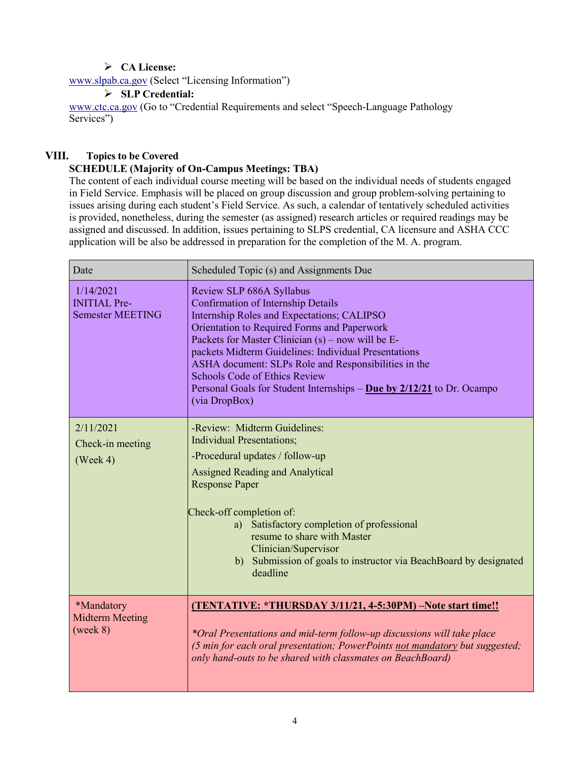# **CA License:**

[www.slpab.ca.gov](http://www.slpab.ca.gov/) (Select "Licensing Information")

## **SLP Credential:**

[www.ctc.ca.gov](http://www.ctc.ca.gov/) (Go to "Credential Requirements and select "Speech-Language Pathology Services")

# **VIII. Topics to be Covered**

# **SCHEDULE (Majority of On-Campus Meetings: TBA)**

The content of each individual course meeting will be based on the individual needs of students engaged in Field Service. Emphasis will be placed on group discussion and group problem-solving pertaining to issues arising during each student's Field Service. As such, a calendar of tentatively scheduled activities is provided, nonetheless, during the semester (as assigned) research articles or required readings may be assigned and discussed. In addition, issues pertaining to SLPS credential, CA licensure and ASHA CCC application will be also be addressed in preparation for the completion of the M. A. program.

| Date                                                        | Scheduled Topic (s) and Assignments Due                                                                                                                                                                                                                                                                                                                                                                                                                                         |  |  |
|-------------------------------------------------------------|---------------------------------------------------------------------------------------------------------------------------------------------------------------------------------------------------------------------------------------------------------------------------------------------------------------------------------------------------------------------------------------------------------------------------------------------------------------------------------|--|--|
| 1/14/2021<br><b>INITIAL Pre-</b><br><b>Semester MEETING</b> | Review SLP 686A Syllabus<br><b>Confirmation of Internship Details</b><br>Internship Roles and Expectations; CALIPSO<br>Orientation to Required Forms and Paperwork<br>Packets for Master Clinician $(s)$ – now will be E-<br>packets Midterm Guidelines: Individual Presentations<br>ASHA document: SLPs Role and Responsibilities in the<br><b>Schools Code of Ethics Review</b><br>Personal Goals for Student Internships $-$ Due by $2/12/21$ to Dr. Ocampo<br>(via DropBox) |  |  |
| 2/11/2021<br>Check-in meeting<br>$( \text{Week } 4 )$       | -Review: Midterm Guidelines:<br><b>Individual Presentations:</b><br>-Procedural updates / follow-up<br><b>Assigned Reading and Analytical</b><br><b>Response Paper</b><br>Check-off completion of:<br>a) Satisfactory completion of professional<br>resume to share with Master<br>Clinician/Supervisor<br>b) Submission of goals to instructor via BeachBoard by designated<br>deadline                                                                                        |  |  |
| *Mandatory<br><b>Midterm Meeting</b><br>(week 8)            | (TENTATIVE: *THURSDAY 3/11/21, 4-5:30PM) -Note start time!!<br>*Oral Presentations and mid-term follow-up discussions will take place<br>(5 min for each oral presentation; PowerPoints not mandatory but suggested;<br>only hand-outs to be shared with classmates on BeachBoard)                                                                                                                                                                                              |  |  |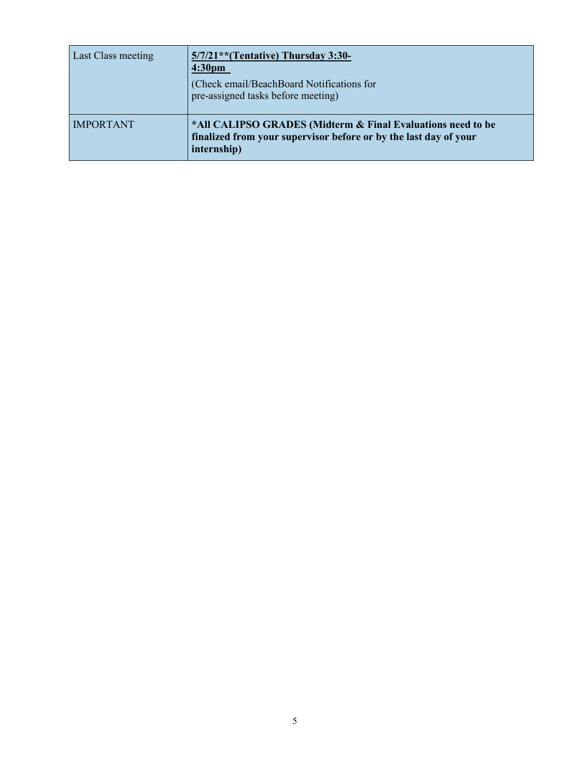| <b>Last Class meeting</b> | $5/7/21$ <sup>**</sup> (Tentative) Thursday 3:30-<br>4:30 <sub>pm</sub><br>(Check email/BeachBoard Notifications for<br>pre-assigned tasks before meeting) |
|---------------------------|------------------------------------------------------------------------------------------------------------------------------------------------------------|
| <b>IMPORTANT</b>          | *All CALIPSO GRADES (Midterm & Final Evaluations need to be<br>finalized from your supervisor before or by the last day of your<br>internship)             |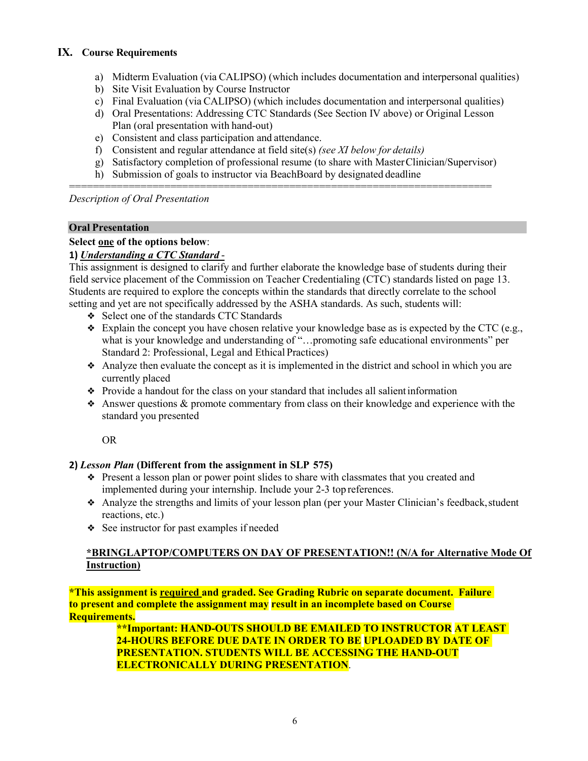# **IX. Course Requirements**

- a) Midterm Evaluation (via CALIPSO) (which includes documentation and interpersonal qualities)
- b) Site Visit Evaluation by Course Instructor
- c) Final Evaluation (via CALIPSO) (which includes documentation and interpersonal qualities)
- d) Oral Presentations: Addressing CTC Standards (See Section IV above) or Original Lesson Plan (oral presentation with hand-out)
- e) Consistent and class participation and attendance.
- f) Consistent and regular attendance at field site(s) *(see XI below for details)*
- g) Satisfactory completion of professional resume (to share with MasterClinician/Supervisor)
- h) Submission of goals to instructor via BeachBoard by designated deadline

======================================================================= *Description of Oral Presentation*

## **Oral Presentation**

## **Select one of the options below**:

# **1)** *Understanding a CTC Standard* -

This assignment is designed to clarify and further elaborate the knowledge base of students during their field service placement of the Commission on Teacher Credentialing (CTC) standards listed on page 13. Students are required to explore the concepts within the standards that directly correlate to the school setting and yet are not specifically addressed by the ASHA standards. As such, students will:

- ❖ Select one of the standards CTC Standards
- $\bullet$  Explain the concept you have chosen relative your knowledge base as is expected by the CTC (e.g., what is your knowledge and understanding of "…promoting safe educational environments" per Standard 2: Professional, Legal and Ethical Practices)
- $\triangle$  Analyze then evaluate the concept as it is implemented in the district and school in which you are currently placed
- ❖ Provide a handout for the class on your standard that includes all salientinformation
- ❖ Answer questions & promote commentary from class on their knowledge and experience with the standard you presented

OR

# **2)** *Lesson Plan* **(Different from the assignment in SLP 575)**

- ❖ Present a lesson plan or power point slides to share with classmates that you created and implemented during your internship. Include your 2-3 top references.
- ❖ Analyze the strengths and limits of your lesson plan (per your Master Clinician's feedback,student reactions, etc.)
- ❖ See instructor for past examples if needed

# **\*BRINGLAPTOP/COMPUTERS ON DAY OF PRESENTATION!! (N/A for Alternative Mode Of Instruction)**

**\*This assignment is required and graded. See Grading Rubric on separate document. Failure to present and complete the assignment may result in an incomplete based on Course Requirements.**

> **\*\*Important: HAND-OUTS SHOULD BE EMAILED TO INSTRUCTOR AT LEAST 24-HOURS BEFORE DUE DATE IN ORDER TO BE UPLOADED BY DATE OF PRESENTATION. STUDENTS WILL BE ACCESSING THE HAND-OUT ELECTRONICALLY DURING PRESENTATION**.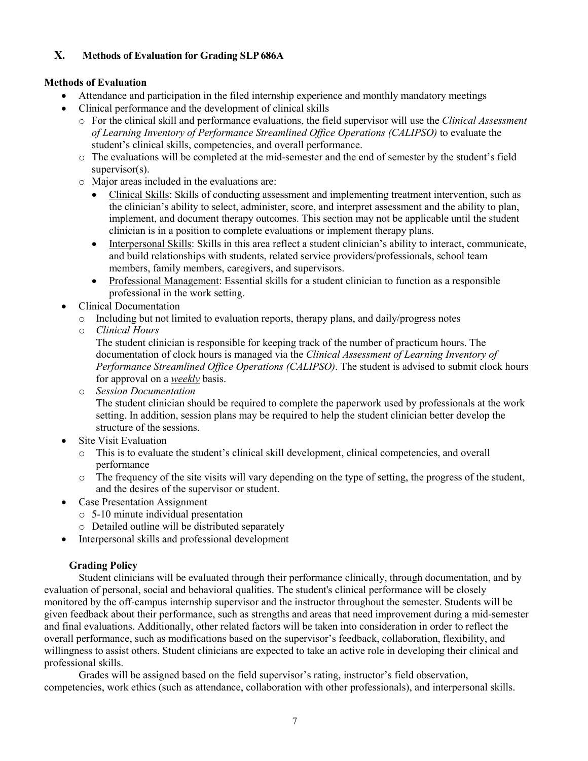# **X. Methods of Evaluation for Grading SLP686A**

## **Methods of Evaluation**

- Attendance and participation in the filed internship experience and monthly mandatory meetings
- Clinical performance and the development of clinical skills
	- o For the clinical skill and performance evaluations, the field supervisor will use the *Clinical Assessment of Learning Inventory of Performance Streamlined Office Operations (CALIPSO)* to evaluate the student's clinical skills, competencies, and overall performance.
	- o The evaluations will be completed at the mid-semester and the end of semester by the student's field supervisor(s).
	- o Major areas included in the evaluations are:
		- Clinical Skills: Skills of conducting assessment and implementing treatment intervention, such as the clinician's ability to select, administer, score, and interpret assessment and the ability to plan, implement, and document therapy outcomes. This section may not be applicable until the student clinician is in a position to complete evaluations or implement therapy plans.
		- Interpersonal Skills: Skills in this area reflect a student clinician's ability to interact, communicate, and build relationships with students, related service providers/professionals, school team members, family members, caregivers, and supervisors.
		- Professional Management: Essential skills for a student clinician to function as a responsible professional in the work setting.
- Clinical Documentation
	- $\circ$  Including but not limited to evaluation reports, therapy plans, and daily/progress notes
	- o *Clinical Hours*

The student clinician is responsible for keeping track of the number of practicum hours. The documentation of clock hours is managed via the *Clinical Assessment of Learning Inventory of Performance Streamlined Office Operations (CALIPSO)*. The student is advised to submit clock hours for approval on a *weekly* basis.

o *Session Documentation*

The student clinician should be required to complete the paperwork used by professionals at the work setting. In addition, session plans may be required to help the student clinician better develop the structure of the sessions.

- Site Visit Evaluation
	- o This is to evaluate the student's clinical skill development, clinical competencies, and overall performance
	- o The frequency of the site visits will vary depending on the type of setting, the progress of the student, and the desires of the supervisor or student.
- Case Presentation Assignment
	- o 5-10 minute individual presentation
	- o Detailed outline will be distributed separately
- Interpersonal skills and professional development

# **Grading Policy**

Student clinicians will be evaluated through their performance clinically, through documentation, and by evaluation of personal, social and behavioral qualities. The student's clinical performance will be closely monitored by the off-campus internship supervisor and the instructor throughout the semester. Students will be given feedback about their performance, such as strengths and areas that need improvement during a mid-semester and final evaluations. Additionally, other related factors will be taken into consideration in order to reflect the overall performance, such as modifications based on the supervisor's feedback, collaboration, flexibility, and willingness to assist others. Student clinicians are expected to take an active role in developing their clinical and professional skills.

Grades will be assigned based on the field supervisor's rating, instructor's field observation, competencies, work ethics (such as attendance, collaboration with other professionals), and interpersonal skills.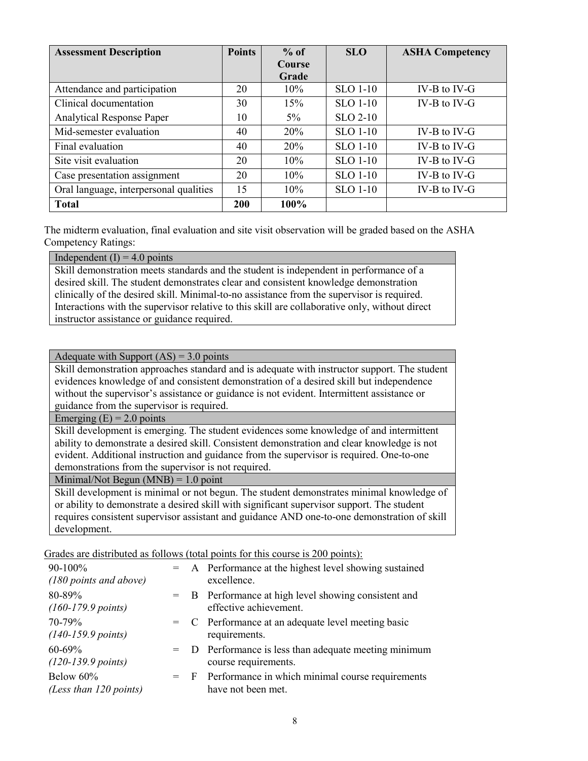| <b>Assessment Description</b>          | <b>Points</b> | $%$ of     | <b>SLO</b>      | <b>ASHA Competency</b> |
|----------------------------------------|---------------|------------|-----------------|------------------------|
|                                        |               | Course     |                 |                        |
|                                        |               | Grade      |                 |                        |
| Attendance and participation           | 20            | $10\%$     | <b>SLO 1-10</b> | $IV-B$ to $IV-G$       |
| Clinical documentation                 | 30            | 15%        | <b>SLO 1-10</b> | $IV-B$ to $IV-G$       |
| <b>Analytical Response Paper</b>       | 10            | $5\%$      | $SLO$ 2-10      |                        |
| Mid-semester evaluation                | 40            | <b>20%</b> | <b>SLO 1-10</b> | $IV-B$ to $IV-G$       |
| Final evaluation                       | 40            | <b>20%</b> | <b>SLO 1-10</b> | $IV-B$ to $IV-G$       |
| Site visit evaluation                  | 20            | 10%        | <b>SLO 1-10</b> | $IV-B$ to $IV-G$       |
| Case presentation assignment           | 20            | 10%        | <b>SLO 1-10</b> | $IV-B$ to $IV-G$       |
| Oral language, interpersonal qualities | 15            | $10\%$     | <b>SLO 1-10</b> | $IV-B$ to $IV-G$       |
| <b>Total</b>                           | 200           | 100%       |                 |                        |

The midterm evaluation, final evaluation and site visit observation will be graded based on the ASHA Competency Ratings:

Independent  $(I) = 4.0$  points

Skill demonstration meets standards and the student is independent in performance of a desired skill. The student demonstrates clear and consistent knowledge demonstration clinically of the desired skill. Minimal-to-no assistance from the supervisor is required. Interactions with the supervisor relative to this skill are collaborative only, without direct instructor assistance or guidance required.

## Adequate with Support  $(AS) = 3.0$  points

Skill demonstration approaches standard and is adequate with instructor support. The student evidences knowledge of and consistent demonstration of a desired skill but independence without the supervisor's assistance or guidance is not evident. Intermittent assistance or guidance from the supervisor is required.

Emerging  $(E) = 2.0$  points

Skill development is emerging. The student evidences some knowledge of and intermittent ability to demonstrate a desired skill. Consistent demonstration and clear knowledge is not evident. Additional instruction and guidance from the supervisor is required. One-to-one demonstrations from the supervisor is not required.

Minimal/Not Begun  $(MNB) = 1.0$  point

Skill development is minimal or not begun. The student demonstrates minimal knowledge of or ability to demonstrate a desired skill with significant supervisor support. The student requires consistent supervisor assistant and guidance AND one-to-one demonstration of skill development.

Grades are distributed as follows (total points for this course is 200 points):

| 90-100%<br>(180 points and above)           |  | $=$ A Performance at the highest level showing sustained<br>excellence.         |
|---------------------------------------------|--|---------------------------------------------------------------------------------|
| 80-89%<br>$(160-179.9 \text{ points})$      |  | = B Performance at high level showing consistent and<br>effective achievement.  |
| 70-79%<br>$(140-159.9 \text{ points})$      |  | $=$ C Performance at an adequate level meeting basic<br>requirements.           |
| $60 - 69\%$<br>$(120-139.9 \text{ points})$ |  | $=$ D Performance is less than adequate meeting minimum<br>course requirements. |
| Below 60%<br>(Less than 120 points)         |  | $=$ F Performance in which minimal course requirements<br>have not been met.    |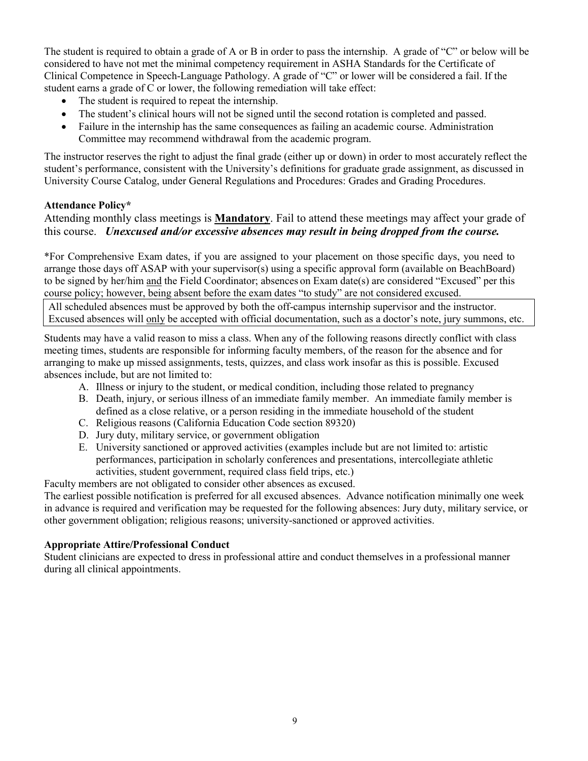The student is required to obtain a grade of A or B in order to pass the internship. A grade of "C" or below will be considered to have not met the minimal competency requirement in ASHA Standards for the Certificate of Clinical Competence in Speech-Language Pathology. A grade of "C" or lower will be considered a fail. If the student earns a grade of C or lower, the following remediation will take effect:

- The student is required to repeat the internship.
- The student's clinical hours will not be signed until the second rotation is completed and passed.
- Failure in the internship has the same consequences as failing an academic course. Administration Committee may recommend withdrawal from the academic program.

The instructor reserves the right to adjust the final grade (either up or down) in order to most accurately reflect the student's performance, consistent with the University's definitions for graduate grade assignment, as discussed in University Course Catalog, under General Regulations and Procedures: Grades and Grading Procedures.

# **Attendance Policy\***

Attending monthly class meetings is **Mandatory**. Fail to attend these meetings may affect your grade of this course. *Unexcused and/or excessive absences may result in being dropped from the course.*

\*For Comprehensive Exam dates, if you are assigned to your placement on those specific days, you need to arrange those days off ASAP with your supervisor(s) using a specific approval form (available on BeachBoard) to be signed by her/him and the Field Coordinator; absences on Exam date(s) are considered "Excused" per this course policy; however, being absent before the exam dates "to study" are not considered excused.

All scheduled absences must be approved by both the off-campus internship supervisor and the instructor. Excused absences will only be accepted with official documentation, such as a doctor's note, jury summons, etc.

Students may have a valid reason to miss a class. When any of the following reasons directly conflict with class meeting times, students are responsible for informing faculty members, of the reason for the absence and for arranging to make up missed assignments, tests, quizzes, and class work insofar as this is possible. Excused absences include, but are not limited to:

- A. Illness or injury to the student, or medical condition, including those related to pregnancy
- B. Death, injury, or serious illness of an immediate family member. An immediate family member is defined as a close relative, or a person residing in the immediate household of the student
- C. Religious reasons (California Education Code section 89320)
- D. Jury duty, military service, or government obligation
- E. University sanctioned or approved activities (examples include but are not limited to: artistic performances, participation in scholarly conferences and presentations, intercollegiate athletic activities, student government, required class field trips, etc.)

Faculty members are not obligated to consider other absences as excused.

The earliest possible notification is preferred for all excused absences. Advance notification minimally one week in advance is required and verification may be requested for the following absences: Jury duty, military service, or other government obligation; religious reasons; university-sanctioned or approved activities.

# **Appropriate Attire/Professional Conduct**

Student clinicians are expected to dress in professional attire and conduct themselves in a professional manner during all clinical appointments.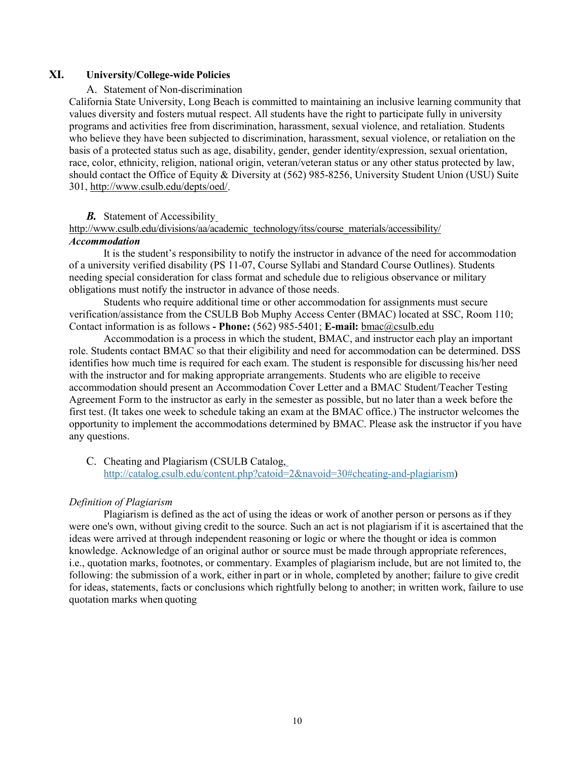## **XI. University/College-wide Policies**

#### A. Statement of Non-discrimination

California State University, Long Beach is committed to maintaining an inclusive learning community that values diversity and fosters mutual respect. All students have the right to participate fully in university programs and activities free from discrimination, harassment, sexual violence, and retaliation. Students who believe they have been subjected to discrimination, harassment, sexual violence, or retaliation on the basis of a protected status such as age, disability, gender, gender identity/expression, sexual orientation, race, color, ethnicity, religion, national origin, veteran/veteran status or any other status protected by law, should contact the Office of Equity & Diversity at (562) 985-8256, University Student Union (USU) Suite 301, [http://www.csulb.edu/depts/oed/.](http://www.csulb.edu/depts/oed/)

#### *B.* Statement of Accessibilit[y](http://www.csulb.edu/divisions/aa/academic_technology/itss/course_materials/accessibility/)

### [http://www.csulb.edu/divisions/aa/academic\\_technology/itss/course\\_materials/accessibility/](http://www.csulb.edu/divisions/aa/academic_technology/itss/course_materials/accessibility/)

#### *Accommodation*

It is the student's responsibility to notify the instructor in advance of the need for accommodation of a university verified disability (PS 11-07, Course Syllabi and Standard Course Outlines). Students needing special consideration for class format and schedule due to religious observance or military obligations must notify the instructor in advance of those needs.

Students who require additional time or other accommodation for assignments must secure verification/assistance from the CSULB Bob Muphy Access Center (BMAC) located at SSC, Room 110; Contact information is as follows **- Phone:** (562) 985-5401; **E-mail:** [bmac@csulb.edu](mailto:dss@csulb.edu)

Accommodation is a process in which the student, BMAC, and instructor each play an important role. Students contact BMAC so that their eligibility and need for accommodation can be determined. DSS identifies how much time is required for each exam. The student is responsible for discussing his/her need with the instructor and for making appropriate arrangements. Students who are eligible to receive accommodation should present an Accommodation Cover Letter and a BMAC Student/Teacher Testing Agreement Form to the instructor as early in the semester as possible, but no later than a week before the first test. (It takes one week to schedule taking an exam at the BMAC office.) The instructor welcomes the opportunity to implement the accommodations determined by BMAC. Please ask the instructor if you have any questions.

C. Cheating and Plagiarism (CSULB Catalog, [http://catalog.csulb.edu/content.php?catoid=2&navoid=30#cheating-and-plagiarism\)](http://catalog.csulb.edu/content.php?catoid=2&navoid=30&cheating-and-plagiarism)

### *Definition of Plagiarism*

Plagiarism is defined as the act of using the ideas or work of another person or persons as if they were one's own, without giving credit to the source. Such an act is not plagiarism if it is ascertained that the ideas were arrived at through independent reasoning or logic or where the thought or idea is common knowledge. Acknowledge of an original author or source must be made through appropriate references, i.e., quotation marks, footnotes, or commentary. Examples of plagiarism include, but are not limited to, the following: the submission of a work, either in part or in whole, completed by another; failure to give credit for ideas, statements, facts or conclusions which rightfully belong to another; in written work, failure to use quotation marks when quoting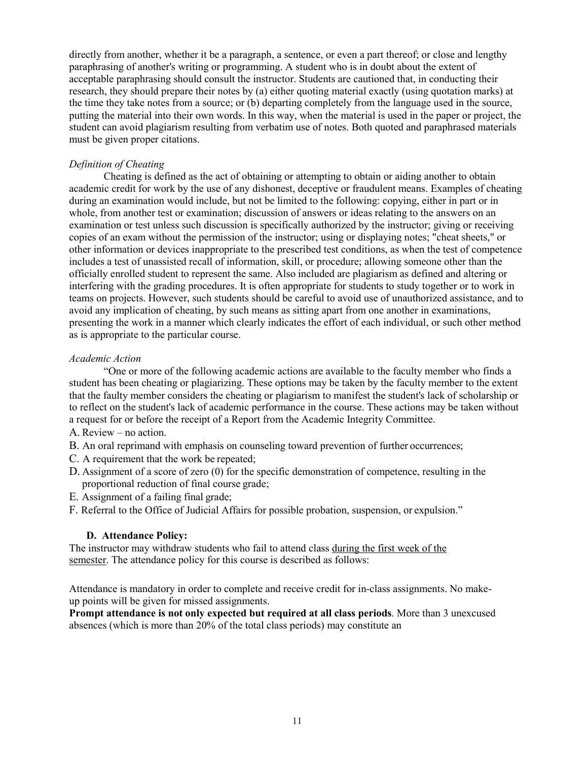directly from another, whether it be a paragraph, a sentence, or even a part thereof; or close and lengthy paraphrasing of another's writing or programming. A student who is in doubt about the extent of acceptable paraphrasing should consult the instructor. Students are cautioned that, in conducting their research, they should prepare their notes by (a) either quoting material exactly (using quotation marks) at the time they take notes from a source; or (b) departing completely from the language used in the source, putting the material into their own words. In this way, when the material is used in the paper or project, the student can avoid plagiarism resulting from verbatim use of notes. Both quoted and paraphrased materials must be given proper citations.

## *Definition of Cheating*

Cheating is defined as the act of obtaining or attempting to obtain or aiding another to obtain academic credit for work by the use of any dishonest, deceptive or fraudulent means. Examples of cheating during an examination would include, but not be limited to the following: copying, either in part or in whole, from another test or examination; discussion of answers or ideas relating to the answers on an examination or test unless such discussion is specifically authorized by the instructor; giving or receiving copies of an exam without the permission of the instructor; using or displaying notes; "cheat sheets," or other information or devices inappropriate to the prescribed test conditions, as when the test of competence includes a test of unassisted recall of information, skill, or procedure; allowing someone other than the officially enrolled student to represent the same. Also included are plagiarism as defined and altering or interfering with the grading procedures. It is often appropriate for students to study together or to work in teams on projects. However, such students should be careful to avoid use of unauthorized assistance, and to avoid any implication of cheating, by such means as sitting apart from one another in examinations, presenting the work in a manner which clearly indicates the effort of each individual, or such other method as is appropriate to the particular course.

### *Academic Action*

"One or more of the following academic actions are available to the faculty member who finds a student has been cheating or plagiarizing. These options may be taken by the faculty member to the extent that the faulty member considers the cheating or plagiarism to manifest the student's lack of scholarship or to reflect on the student's lack of academic performance in the course. These actions may be taken without a request for or before the receipt of a Report from the Academic Integrity Committee.

- A. Review no action.
- B. An oral reprimand with emphasis on counseling toward prevention of further occurrences;
- C. A requirement that the work be repeated;
- D. Assignment of a score of zero (0) for the specific demonstration of competence, resulting in the proportional reduction of final course grade;
- E. Assignment of a failing final grade;
- F. Referral to the Office of Judicial Affairs for possible probation, suspension, or expulsion."

### **D. Attendance Policy:**

The instructor may withdraw students who fail to attend class during the first week of the semester. The attendance policy for this course is described as follows:

Attendance is mandatory in order to complete and receive credit for in-class assignments. No makeup points will be given for missed assignments.

**Prompt attendance is not only expected but required at all class periods**. More than 3 unexcused absences (which is more than 20% of the total class periods) may constitute an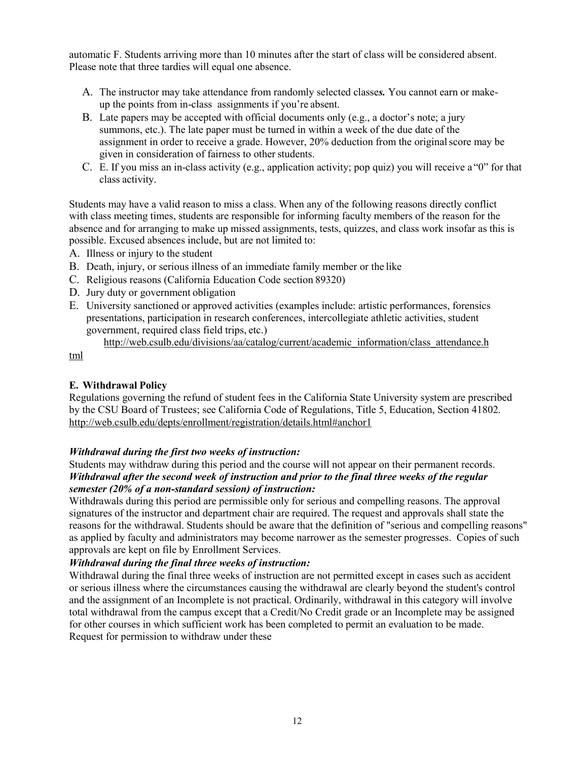automatic F. Students arriving more than 10 minutes after the start of class will be considered absent. Please note that three tardies will equal one absence.

- A. The instructor may take attendance from randomly selected classe*s.* You cannot earn or makeup the points from in-class assignments if you're absent.
- B. Late papers may be accepted with official documents only (e.g., a doctor's note; a jury summons, etc.). The late paper must be turned in within a week of the due date of the assignment in order to receive a grade. However, 20% deduction from the original score may be given in consideration of fairness to other students.
- C. E. If you miss an in-class activity (e.g., application activity; pop quiz) you will receive a "0" for that class activity.

Students may have a valid reason to miss a class. When any of the following reasons directly conflict with class meeting times, students are responsible for informing faculty members of the reason for the absence and for arranging to make up missed assignments, tests, quizzes, and class work insofar as this is possible. Excused absences include, but are not limited to:

- A. Illness or injury to the student
- B. Death, injury, or serious illness of an immediate family member or the like
- C. Religious reasons (California Education Code section 89320)
- D. Jury duty or government obligation
- E. University sanctioned or approved activities (examples include: artistic performances, forensics presentations, participation in research conferences, intercollegiate athletic activities, student government, required class field trips, etc.)

[http://web.csulb.edu/divisions/aa/catalog/current/academic\\_information/class\\_attendance.h](http://web.csulb.edu/divisions/aa/catalog/current/academic_information/class_attendance.html)

[tml](http://web.csulb.edu/divisions/aa/catalog/current/academic_information/class_attendance.html)

## **E. Withdrawal Policy**

Regulations governing the refund of student fees in the California State University system are prescribed by the CSU Board of Trustees; see California Code of Regulations, Title 5, Education, Section 41802. <http://web.csulb.edu/depts/enrollment/registration/details.html#anchor1>

# *Withdrawal during the first two weeks of instruction:*

Students may withdraw during this period and the course will not appear on their permanent records. *Withdrawal after the second week of instruction and prior to the final three weeks of the regular semester (20% of a non-standard session) of instruction:*

Withdrawals during this period are permissible only for serious and compelling reasons. The approval signatures of the instructor and department chair are required. The request and approvals shall state the reasons for the withdrawal. Students should be aware that the definition of "serious and compelling reasons" as applied by faculty and administrators may become narrower as the semester progresses. Copies of such approvals are kept on file by Enrollment Services.

### *Withdrawal during the final three weeks of instruction:*

Withdrawal during the final three weeks of instruction are not permitted except in cases such as accident or serious illness where the circumstances causing the withdrawal are clearly beyond the student's control and the assignment of an Incomplete is not practical. Ordinarily, withdrawal in this category will involve total withdrawal from the campus except that a Credit/No Credit grade or an Incomplete may be assigned for other courses in which sufficient work has been completed to permit an evaluation to be made. Request for permission to withdraw under these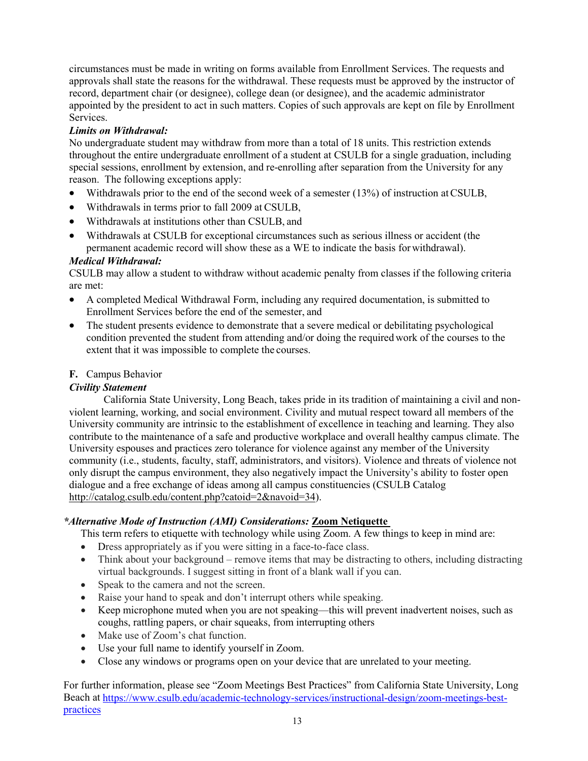circumstances must be made in writing on forms available from Enrollment Services. The requests and approvals shall state the reasons for the withdrawal. These requests must be approved by the instructor of record, department chair (or designee), college dean (or designee), and the academic administrator appointed by the president to act in such matters. Copies of such approvals are kept on file by Enrollment Services.

# *Limits on Withdrawal:*

No undergraduate student may withdraw from more than a total of 18 units. This restriction extends throughout the entire undergraduate enrollment of a student at CSULB for a single graduation, including special sessions, enrollment by extension, and re-enrolling after separation from the University for any reason. The following exceptions apply:

- Withdrawals prior to the end of the second week of a semester (13%) of instruction at CSULB,
- Withdrawals in terms prior to fall 2009 at CSULB,
- Withdrawals at institutions other than CSULB, and
- Withdrawals at CSULB for exceptional circumstances such as serious illness or accident (the permanent academic record will show these as a WE to indicate the basis for withdrawal).

# *Medical Withdrawal:*

CSULB may allow a student to withdraw without academic penalty from classes if the following criteria are met:

- A completed Medical Withdrawal Form, including any required documentation, is submitted to Enrollment Services before the end of the semester, and
- The student presents evidence to demonstrate that a severe medical or debilitating psychological condition prevented the student from attending and/or doing the required work of the courses to the extent that it was impossible to complete the courses.

# **F.** Campus Behavior

# *Civility Statement*

California State University, Long Beach, takes pride in its tradition of maintaining a civil and nonviolent learning, working, and social environment. Civility and mutual respect toward all members of the University community are intrinsic to the establishment of excellence in teaching and learning. They also contribute to the maintenance of a safe and productive workplace and overall healthy campus climate. The University espouses and practices zero tolerance for violence against any member of the University community (i.e., students, faculty, staff, administrators, and visitors). Violence and threats of violence not only disrupt the campus environment, they also negatively impact the University's ability to foster open dialogue and a free exchange of ideas among all campus constituencies (CSULB Catalog [http://catalog.csulb.edu/content.php?catoid=2&navoid=34\)](http://catalog.csulb.edu/content.php?catoid=2&navoid=34).

# *\*Alternative Mode of Instruction (AMI) Considerations:* **Zoom Netiquette**

This term refers to etiquette with technology while using Zoom. A few things to keep in mind are:

- Dress appropriately as if you were sitting in a face-to-face class.
- Think about your background remove items that may be distracting to others, including distracting virtual backgrounds. I suggest sitting in front of a blank wall if you can.
- Speak to the camera and not the screen.
- Raise your hand to speak and don't interrupt others while speaking.
- Keep microphone muted when you are not speaking—this will prevent inadvertent noises, such as coughs, rattling papers, or chair squeaks, from interrupting others
- Make use of Zoom's chat function.
- Use your full name to identify yourself in Zoom.
- Close any windows or programs open on your device that are unrelated to your meeting.

For further information, please see "Zoom Meetings Best Practices" from California State University, Long Beach at [https://www.csulb.edu/academic-technology-services/instructional-design/zoom-meetings-best](https://www.csulb.edu/academic-technology-services/instructional-design/zoom-meetings-best-practices)[practices](https://www.csulb.edu/academic-technology-services/instructional-design/zoom-meetings-best-practices)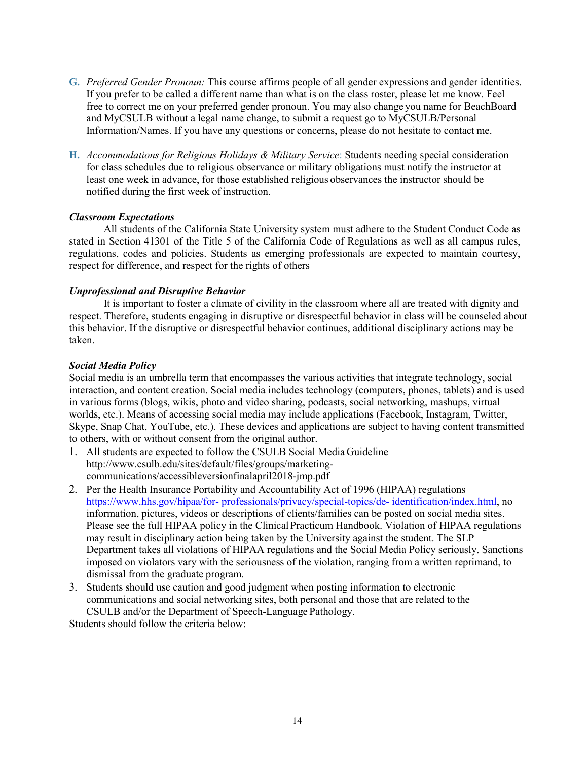- **G.** *Preferred Gender Pronoun:* This course affirms people of all gender expressions and gender identities. If you prefer to be called a different name than what is on the class roster, please let me know. Feel free to correct me on your preferred gender pronoun. You may also change you name for BeachBoard and MyCSULB without a legal name change, to submit a request go to MyCSULB/Personal Information/Names. If you have any questions or concerns, please do not hesitate to contact me.
- **H.** *Accommodations for Religious Holidays & Military Service*: Students needing special consideration for class schedules due to religious observance or military obligations must notify the instructor at least one week in advance, for those established religious observances the instructor should be notified during the first week of instruction.

### *Classroom Expectations*

All students of the California State University system must adhere to the Student Conduct Code as stated in Section 41301 of the Title 5 of the California Code of Regulations as well as all campus rules, regulations, codes and policies. Students as emerging professionals are expected to maintain courtesy, respect for difference, and respect for the rights of others

## *Unprofessional and Disruptive Behavior*

It is important to foster a climate of civility in the classroom where all are treated with dignity and respect. Therefore, students engaging in disruptive or disrespectful behavior in class will be counseled about this behavior. If the disruptive or disrespectful behavior continues, additional disciplinary actions may be taken.

### *Social Media Policy*

Social media is an umbrella term that encompasses the various activities that integrate technology, social interaction, and content creation. Social media includes technology (computers, phones, tablets) and is used in various forms (blogs, wikis, photo and video sharing, podcasts, social networking, mashups, virtual worlds, etc.). Means of accessing social media may include applications (Facebook, Instagram, Twitter, Skype, Snap Chat, YouTube, etc.). These devices and applications are subject to having content transmitted to others, with or without consent from the original author.

- 1. All students are expected to follow the CSULB Social Media Guidelin[e](http://www.csulb.edu/sites/default/files/groups/marketing-communications/accessibleversionfinalapril2018-jmp.pdf) [http://www.csulb.edu/sites/default/files/groups/marketing](http://www.csulb.edu/sites/default/files/groups/marketing-communications/accessibleversionfinalapril2018-jmp.pdf)[communications/accessibleversionfinalapril2018-jmp.pdf](http://www.csulb.edu/sites/default/files/groups/marketing-communications/accessibleversionfinalapril2018-jmp.pdf)
- 2. Per the Health Insurance Portability and Accountability Act of 1996 (HIPAA) regulations https:/[/www.hhs.gov/hipaa/for-](http://www.hhs.gov/hipaa/for-) professionals/privacy/special-topics/de- identification/index.html, no information, pictures, videos or descriptions of clients/families can be posted on social media sites. Please see the full HIPAA policy in the Clinical Practicum Handbook. Violation of HIPAA regulations may result in disciplinary action being taken by the University against the student. The SLP Department takes all violations of HIPAA regulations and the Social Media Policy seriously. Sanctions imposed on violators vary with the seriousness of the violation, ranging from a written reprimand, to dismissal from the graduate program.
- 3. Students should use caution and good judgment when posting information to electronic communications and social networking sites, both personal and those that are related to the CSULB and/or the Department of Speech-Language Pathology.

Students should follow the criteria below: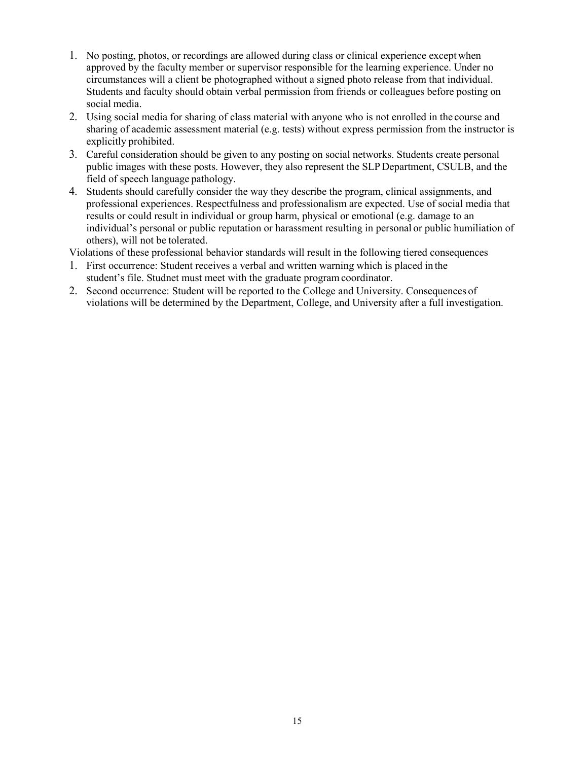- 1. No posting, photos, or recordings are allowed during class or clinical experience except when approved by the faculty member or supervisor responsible for the learning experience. Under no circumstances will a client be photographed without a signed photo release from that individual. Students and faculty should obtain verbal permission from friends or colleagues before posting on social media.
- 2. Using social media for sharing of class material with anyone who is not enrolled in the course and sharing of academic assessment material (e.g. tests) without express permission from the instructor is explicitly prohibited.
- 3. Careful consideration should be given to any posting on social networks. Students create personal public images with these posts. However, they also represent the SLP Department, CSULB, and the field of speech language pathology.
- 4. Students should carefully consider the way they describe the program, clinical assignments, and professional experiences. Respectfulness and professionalism are expected. Use of social media that results or could result in individual or group harm, physical or emotional (e.g. damage to an individual's personal or public reputation or harassment resulting in personal or public humiliation of others), will not be tolerated.

Violations of these professional behavior standards will result in the following tiered consequences

- 1. First occurrence: Student receives a verbal and written warning which is placed in the student's file. Studnet must meet with the graduate program coordinator.
- 2. Second occurrence: Student will be reported to the College and University. Consequences of violations will be determined by the Department, College, and University after a full investigation.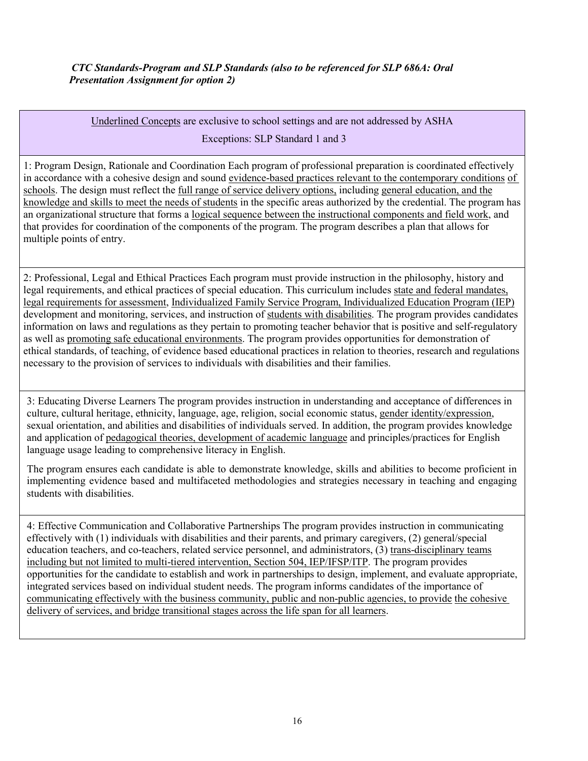Underlined Concepts are exclusive to school settings and are not addressed by ASHA Exceptions: SLP Standard 1 and 3

1: Program Design, Rationale and Coordination Each program of professional preparation is coordinated effectively in accordance with a cohesive design and sound evidence-based practices relevant to the contemporary conditions of schools. The design must reflect the full range of service delivery options, including general education, and the knowledge and skills to meet the needs of students in the specific areas authorized by the credential. The program has an organizational structure that forms a logical sequence between the instructional components and field work, and that provides for coordination of the components of the program. The program describes a plan that allows for multiple points of entry.

2: Professional, Legal and Ethical Practices Each program must provide instruction in the philosophy, history and legal requirements, and ethical practices of special education. This curriculum includes state and federal mandates, legal requirements for assessment, Individualized Family Service Program, Individualized Education Program (IEP) development and monitoring, services, and instruction of students with disabilities. The program provides candidates information on laws and regulations as they pertain to promoting teacher behavior that is positive and self-regulatory as well as promoting safe educational environments. The program provides opportunities for demonstration of ethical standards, of teaching, of evidence based educational practices in relation to theories, research and regulations necessary to the provision of services to individuals with disabilities and their families.

3: Educating Diverse Learners The program provides instruction in understanding and acceptance of differences in culture, cultural heritage, ethnicity, language, age, religion, social economic status, gender identity/expression, sexual orientation, and abilities and disabilities of individuals served. In addition, the program provides knowledge and application of pedagogical theories, development of academic language and principles/practices for English language usage leading to comprehensive literacy in English.

The program ensures each candidate is able to demonstrate knowledge, skills and abilities to become proficient in implementing evidence based and multifaceted methodologies and strategies necessary in teaching and engaging students with disabilities.

4: Effective Communication and Collaborative Partnerships The program provides instruction in communicating effectively with (1) individuals with disabilities and their parents, and primary caregivers, (2) general/special education teachers, and co-teachers, related service personnel, and administrators, (3) trans-disciplinary teams including but not limited to multi-tiered intervention, Section 504, IEP/IFSP/ITP. The program provides opportunities for the candidate to establish and work in partnerships to design, implement, and evaluate appropriate, integrated services based on individual student needs. The program informs candidates of the importance of communicating effectively with the business community, public and non-public agencies, to provide the cohesive delivery of services, and bridge transitional stages across the life span for all learners.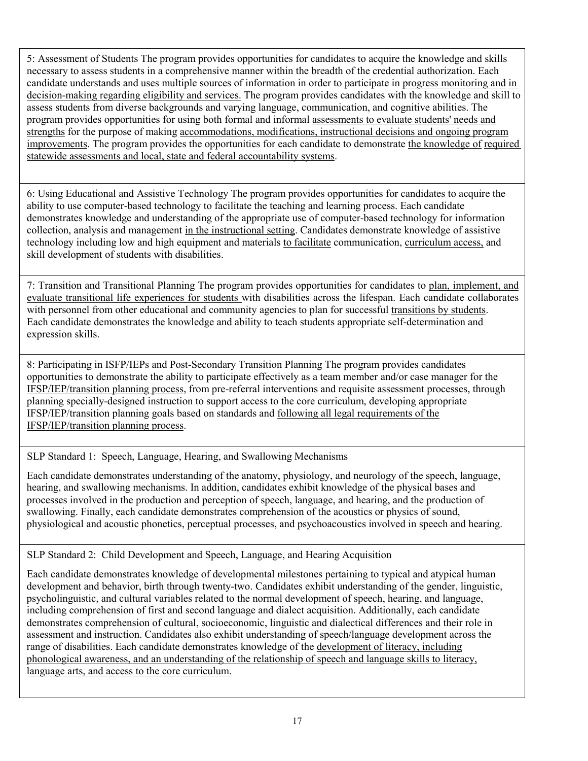5: Assessment of Students The program provides opportunities for candidates to acquire the knowledge and skills necessary to assess students in a comprehensive manner within the breadth of the credential authorization. Each candidate understands and uses multiple sources of information in order to participate in progress monitoring and in decision-making regarding eligibility and services. The program provides candidates with the knowledge and skill to assess students from diverse backgrounds and varying language, communication, and cognitive abilities. The program provides opportunities for using both formal and informal assessments to evaluate students' needs and strengths for the purpose of making accommodations, modifications, instructional decisions and ongoing program improvements. The program provides the opportunities for each candidate to demonstrate the knowledge of required statewide assessments and local, state and federal accountability systems.

6: Using Educational and Assistive Technology The program provides opportunities for candidates to acquire the ability to use computer-based technology to facilitate the teaching and learning process. Each candidate demonstrates knowledge and understanding of the appropriate use of computer-based technology for information collection, analysis and management in the instructional setting. Candidates demonstrate knowledge of assistive technology including low and high equipment and materials to facilitate communication, curriculum access, and skill development of students with disabilities.

7: Transition and Transitional Planning The program provides opportunities for candidates to plan, implement, and evaluate transitional life experiences for students with disabilities across the lifespan. Each candidate collaborates with personnel from other educational and community agencies to plan for successful transitions by students. Each candidate demonstrates the knowledge and ability to teach students appropriate self-determination and expression skills.

8: Participating in ISFP/IEPs and Post-Secondary Transition Planning The program provides candidates opportunities to demonstrate the ability to participate effectively as a team member and/or case manager for the IFSP/IEP/transition planning process, from pre-referral interventions and requisite assessment processes, through planning specially-designed instruction to support access to the core curriculum, developing appropriate IFSP/IEP/transition planning goals based on standards and following all legal requirements of the IFSP/IEP/transition planning process.

SLP Standard 1: Speech, Language, Hearing, and Swallowing Mechanisms

Each candidate demonstrates understanding of the anatomy, physiology, and neurology of the speech, language, hearing, and swallowing mechanisms. In addition, candidates exhibit knowledge of the physical bases and processes involved in the production and perception of speech, language, and hearing, and the production of swallowing. Finally, each candidate demonstrates comprehension of the acoustics or physics of sound, physiological and acoustic phonetics, perceptual processes, and psychoacoustics involved in speech and hearing.

SLP Standard 2: Child Development and Speech, Language, and Hearing Acquisition

Each candidate demonstrates knowledge of developmental milestones pertaining to typical and atypical human development and behavior, birth through twenty-two. Candidates exhibit understanding of the gender, linguistic, psycholinguistic, and cultural variables related to the normal development of speech, hearing, and language, including comprehension of first and second language and dialect acquisition. Additionally, each candidate demonstrates comprehension of cultural, socioeconomic, linguistic and dialectical differences and their role in assessment and instruction. Candidates also exhibit understanding of speech/language development across the range of disabilities. Each candidate demonstrates knowledge of the development of literacy, including phonological awareness, and an understanding of the relationship of speech and language skills to literacy, language arts, and access to the core curriculum.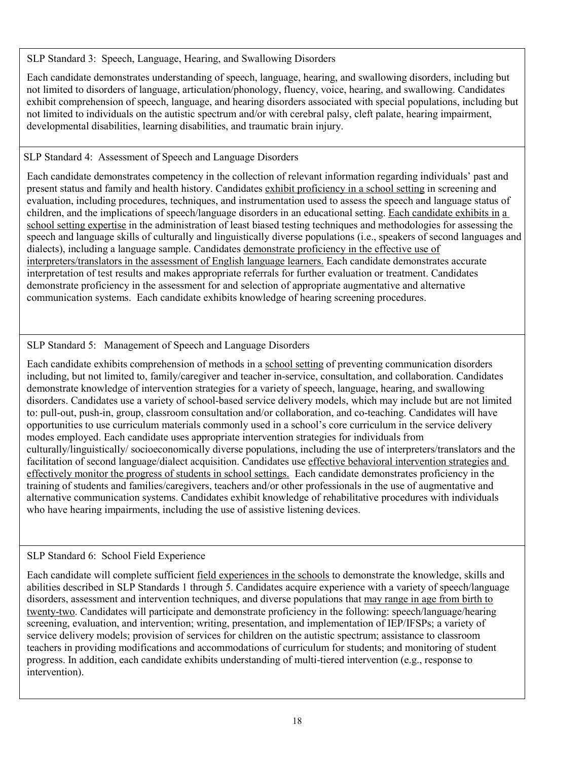SLP Standard 3: Speech, Language, Hearing, and Swallowing Disorders

Each candidate demonstrates understanding of speech, language, hearing, and swallowing disorders, including but not limited to disorders of language, articulation/phonology, fluency, voice, hearing, and swallowing. Candidates exhibit comprehension of speech, language, and hearing disorders associated with special populations, including but not limited to individuals on the autistic spectrum and/or with cerebral palsy, cleft palate, hearing impairment, developmental disabilities, learning disabilities, and traumatic brain injury.

# SLP Standard 4: Assessment of Speech and Language Disorders

Each candidate demonstrates competency in the collection of relevant information regarding individuals' past and present status and family and health history. Candidates exhibit proficiency in a school setting in screening and evaluation, including procedures, techniques, and instrumentation used to assess the speech and language status of children, and the implications of speech/language disorders in an educational setting. Each candidate exhibits in a school setting expertise in the administration of least biased testing techniques and methodologies for assessing the speech and language skills of culturally and linguistically diverse populations (i.e., speakers of second languages and dialects), including a language sample. Candidates demonstrate proficiency in the effective use of interpreters/translators in the assessment of English language learners. Each candidate demonstrates accurate interpretation of test results and makes appropriate referrals for further evaluation or treatment. Candidates demonstrate proficiency in the assessment for and selection of appropriate augmentative and alternative communication systems. Each candidate exhibits knowledge of hearing screening procedures.

# SLP Standard 5: Management of Speech and Language Disorders

Each candidate exhibits comprehension of methods in a school setting of preventing communication disorders including, but not limited to, family/caregiver and teacher in-service, consultation, and collaboration. Candidates demonstrate knowledge of intervention strategies for a variety of speech, language, hearing, and swallowing disorders. Candidates use a variety of school-based service delivery models, which may include but are not limited to: pull-out, push-in, group, classroom consultation and/or collaboration, and co-teaching. Candidates will have opportunities to use curriculum materials commonly used in a school's core curriculum in the service delivery modes employed. Each candidate uses appropriate intervention strategies for individuals from culturally/linguistically/ socioeconomically diverse populations, including the use of interpreters/translators and the facilitation of second language/dialect acquisition. Candidates use effective behavioral intervention strategies and effectively monitor the progress of students in school settings. Each candidate demonstrates proficiency in the training of students and families/caregivers, teachers and/or other professionals in the use of augmentative and alternative communication systems. Candidates exhibit knowledge of rehabilitative procedures with individuals who have hearing impairments, including the use of assistive listening devices.

# SLP Standard 6: School Field Experience

Each candidate will complete sufficient field experiences in the schools to demonstrate the knowledge, skills and abilities described in SLP Standards 1 through 5. Candidates acquire experience with a variety of speech/language disorders, assessment and intervention techniques, and diverse populations that may range in age from birth to twenty-two. Candidates will participate and demonstrate proficiency in the following: speech/language/hearing screening, evaluation, and intervention; writing, presentation, and implementation of IEP/IFSPs; a variety of service delivery models; provision of services for children on the autistic spectrum; assistance to classroom teachers in providing modifications and accommodations of curriculum for students; and monitoring of student progress. In addition, each candidate exhibits understanding of multi-tiered intervention (e.g., response to intervention).